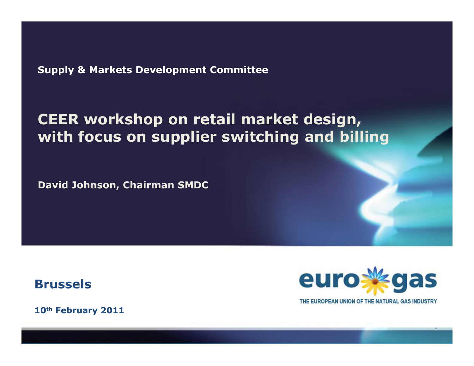Supply & Markets Development Committee

# CEER workshop on retail market design, with focus on supplier switching and billing

David Johnson, Chairman SMDC

Brussels



THE EUROPEAN UNION OF THE NATURAL GAS INDUSTRY

1

10<sup>th</sup> February 2011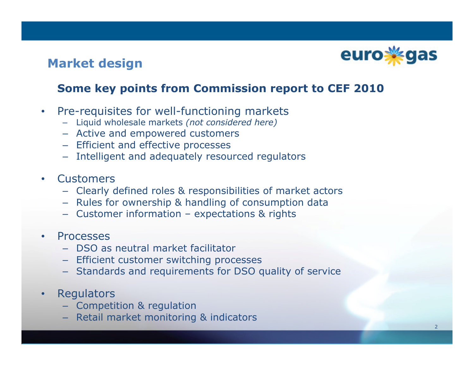

## Market design

#### Some key points from Commission report to CEF 2010

- $\bullet$  Pre-requisites for well-functioning markets
	- Liquid wholesale markets (not considered here)
	- Active and empowered customers
	- Efficient and effective processes
	- Intelligent and adequately resourced regulators
- •**Customers** 
	- Clearly defined roles & responsibilities of market actors
	- Rules for ownership & handling of consumption data
	- Customer information expectations & rights
- $\bullet$  Processes
	- DSO as neutral market facilitator
	- Efficient customer switching processes
	- Standards and requirements for DSO quality of service
- •**Regulators** 
	- Competition & regulation
	- Retail market monitoring & indicators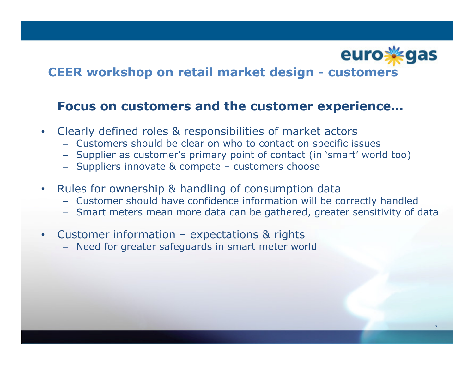

## CEER workshop on retail market design - customers

#### Focus on customers and the customer experience…

- Clearly defined roles & responsibilities of market actors
	- Customers should be clear on who to contact on specific issues
	- Supplier as customer's primary point of contact (in `smart' world too)<br>– Suppliers innovate & compete customers choose
	- Suppliers innovate & compete customers choose
- $\bullet$  Rules for ownership & handling of consumption data
	- Customer should have confidence information will be correctly handled
	- Smart meters mean more data can be gathered, greater sensitivity of data
- $\bullet$  Customer information – expectations & rights
	- Need for greater safeguards in smart meter world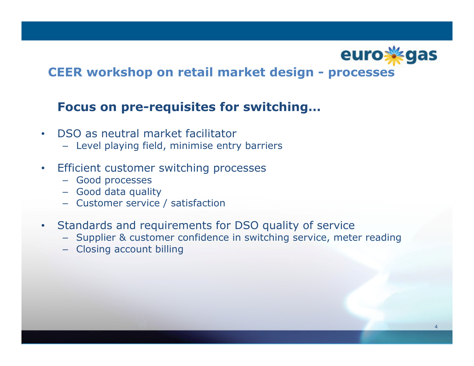

### CEER workshop on retail market design - processes

#### Focus on pre-requisites for switching…

- $\bullet$  DSO as neutral market facilitator
	- Level playing field, minimise entry barriers
- $\bullet$  Efficient customer switching processes
	- Good processes
	- Good data quality
	- Customer service / satisfaction
- $\bullet$  Standards and requirements for DSO quality of service
	- Supplier & customer confidence in switching service, meter reading
	- Closing account billing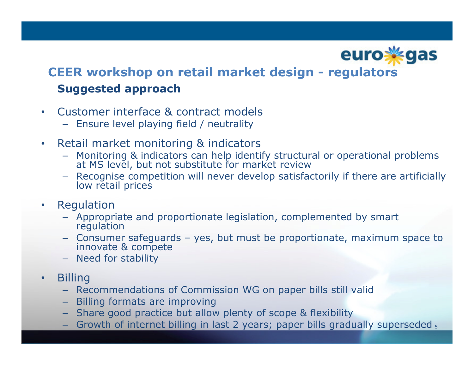

# CEER workshop on retail market design - regulators Suggested approach

- $\bullet$  Customer interface & contract models
	- Ensure level playing field / neutrality
- • Retail market monitoring & indicators
	- Monitoring & indicators can help identify structural or operational problems at MS level, but not substitute for market review
	- Recognise competition will never develop satisfactorily if there are artificially<br>low retail prices
- $\bullet$  Regulation
	- Appropriate and proportionate legislation, complemented by smart regulation
	- Consumer safeguards yes, but must be proportionate, maximum space to innovate & compete
	- Need for stability
- •**Billing** 
	- Recommendations of Commission WG on paper bills still valid
	- Billing formats are improving
	- Share good practice but allow plenty of scope & flexibility
	- Growth of internet billing in last 2 years; paper bills gradually superseded <sub>5</sub>